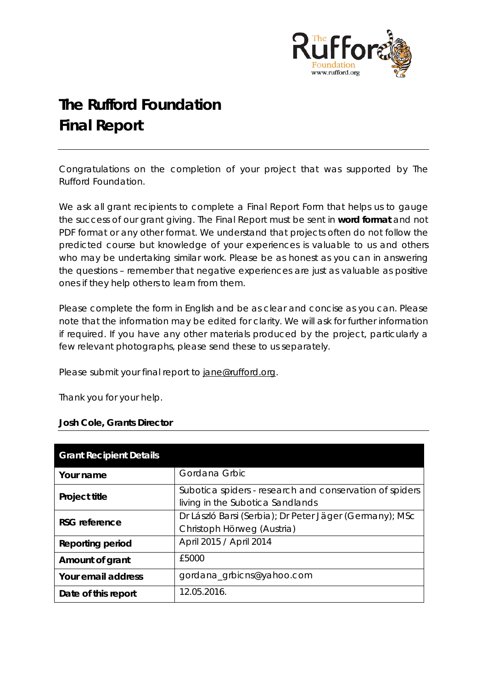

# **The Rufford Foundation Final Report**

Congratulations on the completion of your project that was supported by The Rufford Foundation.

We ask all grant recipients to complete a Final Report Form that helps us to gauge the success of our grant giving. The Final Report must be sent in **word format** and not PDF format or any other format. We understand that projects often do not follow the predicted course but knowledge of your experiences is valuable to us and others who may be undertaking similar work. Please be as honest as you can in answering the questions – remember that negative experiences are just as valuable as positive ones if they help others to learn from them.

Please complete the form in English and be as clear and concise as you can. Please note that the information may be edited for clarity. We will ask for further information if required. If you have any other materials produced by the project, particularly a few relevant photographs, please send these to us separately.

Please submit your final report to [jane@rufford.org.](mailto:jane@rufford.org)

Thank you for your help.

#### **Josh Cole, Grants Director**

| <b>Grant Recipient Details</b> |                                                                                             |
|--------------------------------|---------------------------------------------------------------------------------------------|
| Your name                      | Gordana Grbic                                                                               |
| Project title                  | Subotica spiders - research and conservation of spiders<br>living in the Subotica Sandlands |
| <b>RSG</b> reference           | Dr László Barsi (Serbia); Dr Peter Jäger (Germany); MSc<br>Christoph Hörweg (Austria)       |
| <b>Reporting period</b>        | April 2015 / April 2014                                                                     |
| Amount of grant                | £5000                                                                                       |
| Your email address             | gordana_grbicns@yahoo.com                                                                   |
| Date of this report            | 12.05.2016.                                                                                 |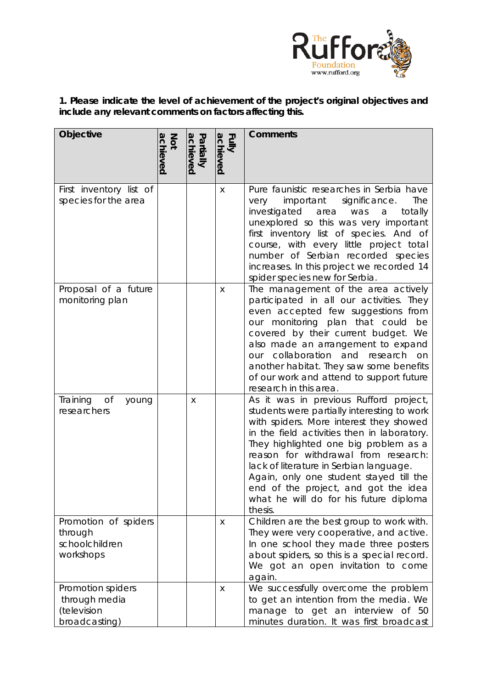

**1. Please indicate the level of achievement of the project's original objectives and include any relevant comments on factors affecting this.** 

| Objective                                                          | achieved<br>Not | achieved<br>Partially | <b>Fully</b><br>achieved | <b>Comments</b>                                                                                                                                                                                                                                                                                                                                                                                                                                     |
|--------------------------------------------------------------------|-----------------|-----------------------|--------------------------|-----------------------------------------------------------------------------------------------------------------------------------------------------------------------------------------------------------------------------------------------------------------------------------------------------------------------------------------------------------------------------------------------------------------------------------------------------|
| First inventory list of<br>species for the area                    |                 |                       | X                        | Pure faunistic researches in Serbia have<br>The<br>important<br>significance.<br>very<br>investigated<br>totally<br>area<br>was<br>a<br>unexplored so this was very important<br>first inventory list of species. And of<br>course, with every little project total<br>number of Serbian recorded species<br>increases. In this project we recorded 14<br>spider species new for Serbia.                                                            |
| Proposal of a future<br>monitoring plan                            |                 |                       | X                        | The management of the area actively<br>participated in all our activities. They<br>even accepted few suggestions from<br>our monitoring plan that could<br>be<br>covered by their current budget. We<br>also made an arrangement to expand<br>our collaboration and<br>research<br>on<br>another habitat. They saw some benefits<br>of our work and attend to support future<br>research in this area.                                              |
| $\mathsf{O} \mathsf{f}$<br>Training<br>young<br>researchers        |                 | X                     |                          | As it was in previous Rufford project,<br>students were partially interesting to work<br>with spiders. More interest they showed<br>in the field activities then in laboratory.<br>They highlighted one big problem as a<br>reason for withdrawal from research:<br>lack of literature in Serbian language.<br>Again, only one student stayed till the<br>end of the project, and got the idea<br>what he will do for his future diploma<br>thesis. |
| Promotion of spiders<br>through<br>schoolchildren<br>workshops     |                 |                       | X                        | Children are the best group to work with.<br>They were very cooperative, and active.<br>In one school they made three posters<br>about spiders, so this is a special record.<br>We got an open invitation to come<br>again.                                                                                                                                                                                                                         |
| Promotion spiders<br>through media<br>(television<br>broadcasting) |                 |                       | X                        | We successfully overcome the problem<br>to get an intention from the media. We<br>manage to get an interview of 50<br>minutes duration. It was first broadcast                                                                                                                                                                                                                                                                                      |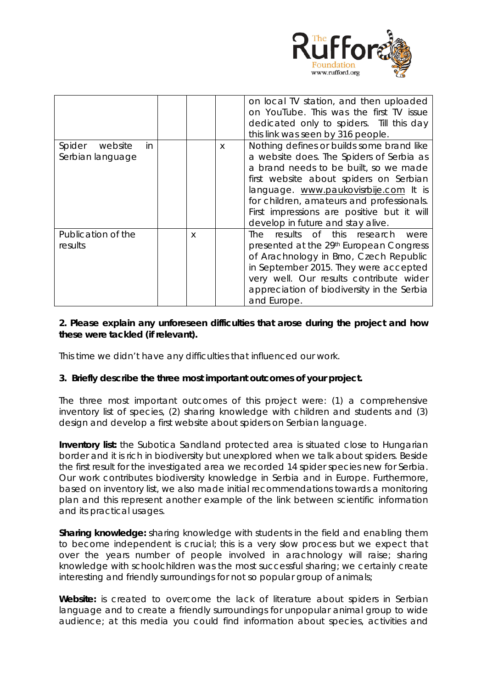

|                                              |   |   | on local TV station, and then uploaded<br>on YouTube. This was the first TV issue<br>dedicated only to spiders. Till this day<br>this link was seen by 316 people.                                                                                                                                                                                |
|----------------------------------------------|---|---|---------------------------------------------------------------------------------------------------------------------------------------------------------------------------------------------------------------------------------------------------------------------------------------------------------------------------------------------------|
| Spider<br>website<br>in.<br>Serbian language |   | X | Nothing defines or builds some brand like<br>a website does. The Spiders of Serbia as<br>a brand needs to be built, so we made<br>first website about spiders on Serbian<br>language. www.paukovisrbije.com It is<br>for children, amateurs and professionals.<br>First impressions are positive but it will<br>develop in future and stay alive. |
| Publication of the<br>results                | X |   | results of this research<br>The<br>were<br>presented at the 29th European Congress<br>of Arachnology in Brno, Czech Republic<br>in September 2015. They were accepted<br>very well. Our results contribute wider<br>appreciation of biodiversity in the Serbia<br>and Europe.                                                                     |

# **2. Please explain any unforeseen difficulties that arose during the project and how these were tackled (if relevant).**

This time we didn't have any difficulties that influenced our work.

# **3. Briefly describe the three most important outcomes of your project.**

The three most important outcomes of this project were: (1) a comprehensive inventory list of species, (2) sharing knowledge with children and students and (3) design and develop a first website about spiders on Serbian language.

**Inventory list:** the Subotica Sandland protected area is situated close to Hungarian border and it is rich in biodiversity but unexplored when we talk about spiders. Beside the first result for the investigated area we recorded 14 spider species new for Serbia. Our work contributes biodiversity knowledge in Serbia and in Europe. Furthermore, based on inventory list, we also made initial recommendations towards a monitoring plan and this represent another example of the link between scientific information and its practical usages.

**Sharing knowledge:** sharing knowledge with students in the field and enabling them to become independent is crucial; this is a very slow process but we expect that over the years number of people involved in arachnology will raise; sharing knowledge with schoolchildren was the most successful sharing; we certainly create interesting and friendly surroundings for not so popular group of animals;

**Website:** is created to overcome the lack of literature about spiders in Serbian language and to create a friendly surroundings for unpopular animal group to wide audience; at this media you could find information about species, activities and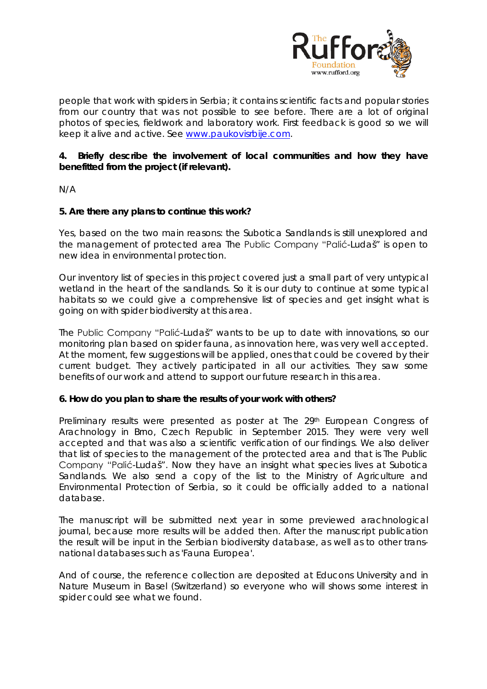

people that work with spiders in Serbia; it contains scientific facts and popular stories from our country that was not possible to see before. There are a lot of original photos of species, fieldwork and laboratory work. First feedback is good so we will keep it alive and active. See [www.paukovisrbije.com.](http://www.paukovisrbije.com/)

## **4. Briefly describe the involvement of local communities and how they have benefitted from the project (if relevant).**

N/A

#### **5. Are there any plans to continue this work?**

Yes, based on the two main reasons: the Subotica Sandlands is still unexplored and the management of protected area The Public Company "Palić-Ludaš" is open to new idea in environmental protection.

Our inventory list of species in this project covered just a small part of very untypical wetland in the heart of the sandlands. So it is our duty to continue at some typical habitats so we could give a comprehensive list of species and get insight what is going on with spider biodiversity at this area.

The Public Company "Palić-Ludaš" wants to be up to date with innovations, so our monitoring plan based on spider fauna, as innovation here, was very well accepted. At the moment, few suggestions will be applied, ones that could be covered by their current budget. They actively participated in all our activities. They saw some benefits of our work and attend to support our future research in this area.

#### **6. How do you plan to share the results of your work with others?**

Preliminary results were presented as poster at The 29th European Congress of Arachnology in Brno, Czech Republic in September 2015. They were very well accepted and that was also a scientific verification of our findings. We also deliver that list of species to the management of the protected area and that is The Public Company "Palić-Ludaš". Now they have an insight what species lives at Subotica Sandlands. We also send a copy of the list to the Ministry of Agriculture and Environmental Protection of Serbia, so it could be officially added to a national database.

The manuscript will be submitted next year in some previewed arachnological journal, because more results will be added then. After the manuscript publication the result will be input in the Serbian biodiversity database, as well as to other transnational databases such as 'Fauna Europea'.

And of course, the reference collection are deposited at Educons University and in Nature Museum in Basel (Switzerland) so everyone who will shows some interest in spider could see what we found.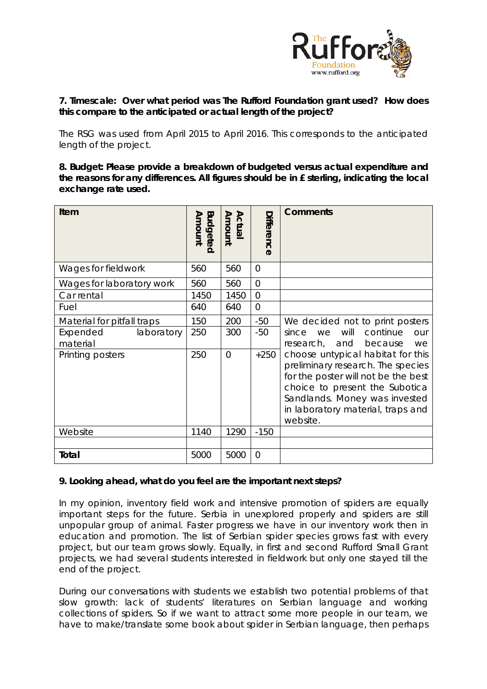

## **7. Timescale: Over what period was The Rufford Foundation grant used? How does this compare to the anticipated or actual length of the project?**

The RSG was used from April 2015 to April 2016. This corresponds to the anticipated length of the project.

**8. Budget: Please provide a breakdown of budgeted versus actual expenditure and the reasons for any differences. All figures should be in £ sterling, indicating the local exchange rate used.** 

| Item                               | Budgeted<br>Annount | <b>Amount</b><br>Actual | Difference     | <b>Comments</b>                                                                                                                                                                                                                   |  |
|------------------------------------|---------------------|-------------------------|----------------|-----------------------------------------------------------------------------------------------------------------------------------------------------------------------------------------------------------------------------------|--|
| Wages for fieldwork                | 560                 | 560                     | $\overline{0}$ |                                                                                                                                                                                                                                   |  |
| Wages for laboratory work          | 560                 | 560                     | $\overline{0}$ |                                                                                                                                                                                                                                   |  |
| Car rental                         | 1450                | 1450                    | $\overline{0}$ |                                                                                                                                                                                                                                   |  |
| Fuel                               | 640                 | 640                     | $\overline{0}$ |                                                                                                                                                                                                                                   |  |
| Material for pitfall traps         | 150                 | 200                     | $-50$          | We decided not to print posters                                                                                                                                                                                                   |  |
| Expended<br>laboratory<br>material | 250                 | 300                     | $-50$          | will<br>continue<br>since<br>our<br>we<br>research,<br>and<br>because<br>we                                                                                                                                                       |  |
| Printing posters                   | 250                 | $\overline{0}$          | $+250$         | choose untypical habitat for this<br>preliminary research. The species<br>for the poster will not be the best<br>choice to present the Subotica<br>Sandlands. Money was invested<br>in laboratory material, traps and<br>website. |  |
| Website                            | 1140                | 1290                    | $-150$         |                                                                                                                                                                                                                                   |  |
|                                    |                     |                         |                |                                                                                                                                                                                                                                   |  |
| Total                              | 5000                | 5000                    | $\overline{0}$ |                                                                                                                                                                                                                                   |  |

#### **9. Looking ahead, what do you feel are the important next steps?**

In my opinion, inventory field work and intensive promotion of spiders are equally important steps for the future. Serbia in unexplored properly and spiders are still unpopular group of animal. Faster progress we have in our inventory work then in education and promotion. The list of Serbian spider species grows fast with every project, but our team grows slowly. Equally, in first and second Rufford Small Grant projects, we had several students interested in fieldwork but only one stayed till the end of the project.

During our conversations with students we establish two potential problems of that slow growth: lack of students' literatures on Serbian language and working collections of spiders. So if we want to attract some more people in our team, we have to make/translate some book about spider in Serbian language, then perhaps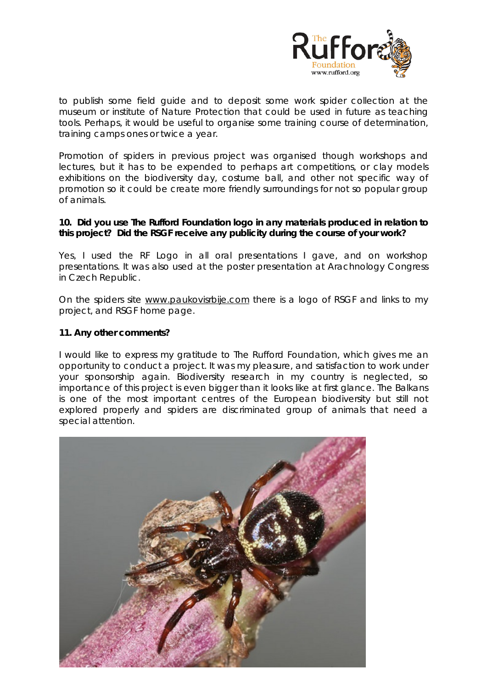

to publish some field guide and to deposit some work spider collection at the museum or institute of Nature Protection that could be used in future as teaching tools. Perhaps, it would be useful to organise some training course of determination, training camps ones or twice a year.

Promotion of spiders in previous project was organised though workshops and lectures, but it has to be expended to perhaps art competitions, or clay models exhibitions on the biodiversity day, costume ball, and other not specific way of promotion so it could be create more friendly surroundings for not so popular group of animals.

## **10. Did you use The Rufford Foundation logo in any materials produced in relation to this project? Did the RSGF receive any publicity during the course of your work?**

Yes, I used the RF Logo in all oral presentations I gave, and on workshop presentations. It was also used at the poster presentation at Arachnology Congress in Czech Republic.

On the spiders site [www.paukovisrbije.com](http://www.paukovisrbije.com/) there is a logo of RSGF and links to my project, and RSGF home page.

## **11. Any other comments?**

I would like to express my gratitude to The Rufford Foundation, which gives me an opportunity to conduct a project. It was my pleasure, and satisfaction to work under your sponsorship again. Biodiversity research in my country is neglected, so importance of this project is even bigger than it looks like at first glance. The Balkans is one of the most important centres of the European biodiversity but still not explored properly and spiders are discriminated group of animals that need a special attention.

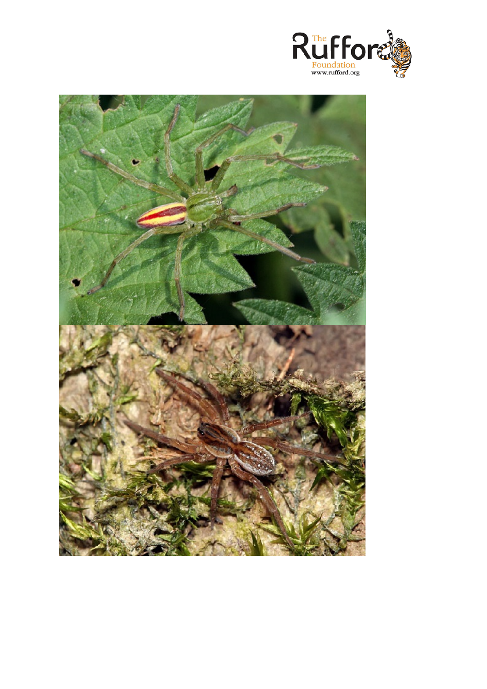